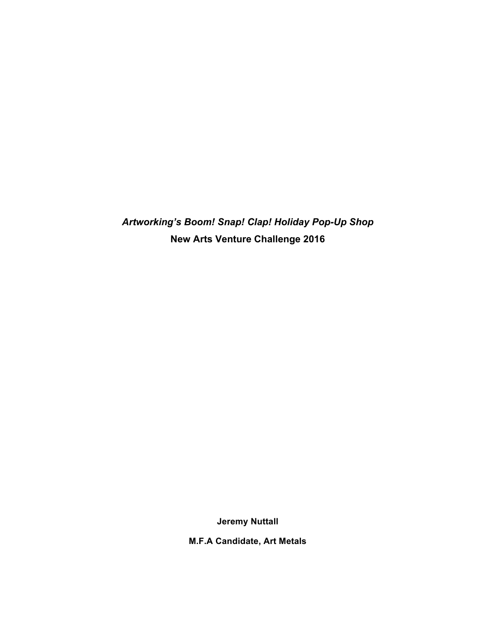*Artworking's Boom! Snap! Clap! Holiday Pop-Up Shop* **New Arts Venture Challenge 2016** 

**Jeremy Nuttall**

**M.F.A Candidate, Art Metals**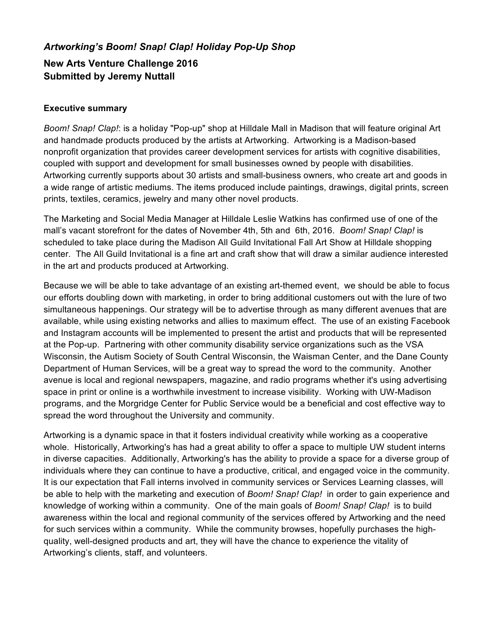# *Artworking's Boom! Snap! Clap! Holiday Pop-Up Shop* **New Arts Venture Challenge 2016 Submitted by Jeremy Nuttall**

#### **Executive summary**

*Boom! Snap! Clap!*: is a holiday "Pop-up" shop at Hilldale Mall in Madison that will feature original Art and handmade products produced by the artists at Artworking. Artworking is a Madison-based nonprofit organization that provides career development services for artists with cognitive disabilities, coupled with support and development for small businesses owned by people with disabilities. Artworking currently supports about 30 artists and small-business owners, who create art and goods in a wide range of artistic mediums. The items produced include paintings, drawings, digital prints, screen prints, textiles, ceramics, jewelry and many other novel products.

The Marketing and Social Media Manager at Hilldale Leslie Watkins has confirmed use of one of the mall's vacant storefront for the dates of November 4th, 5th and 6th, 2016. *Boom! Snap! Clap!* is scheduled to take place during the Madison All Guild Invitational Fall Art Show at Hilldale shopping center. The All Guild Invitational is a fine art and craft show that will draw a similar audience interested in the art and products produced at Artworking.

Because we will be able to take advantage of an existing art-themed event, we should be able to focus our efforts doubling down with marketing, in order to bring additional customers out with the lure of two simultaneous happenings. Our strategy will be to advertise through as many different avenues that are available, while using existing networks and allies to maximum effect. The use of an existing Facebook and Instagram accounts will be implemented to present the artist and products that will be represented at the Pop-up. Partnering with other community disability service organizations such as the VSA Wisconsin, the Autism Society of South Central Wisconsin, the Waisman Center, and the Dane County Department of Human Services, will be a great way to spread the word to the community. Another avenue is local and regional newspapers, magazine, and radio programs whether it's using advertising space in print or online is a worthwhile investment to increase visibility. Working with UW-Madison programs, and the Morgridge Center for Public Service would be a beneficial and cost effective way to spread the word throughout the University and community.

Artworking is a dynamic space in that it fosters individual creativity while working as a cooperative whole. Historically, Artworking's has had a great ability to offer a space to multiple UW student interns in diverse capacities. Additionally, Artworking's has the ability to provide a space for a diverse group of individuals where they can continue to have a productive, critical, and engaged voice in the community. It is our expectation that Fall interns involved in community services or Services Learning classes, will be able to help with the marketing and execution of *Boom! Snap! Clap!* in order to gain experience and knowledge of working within a community. One of the main goals of *Boom! Snap! Clap!* is to build awareness within the local and regional community of the services offered by Artworking and the need for such services within a community. While the community browses, hopefully purchases the highquality, well-designed products and art, they will have the chance to experience the vitality of Artworking's clients, staff, and volunteers.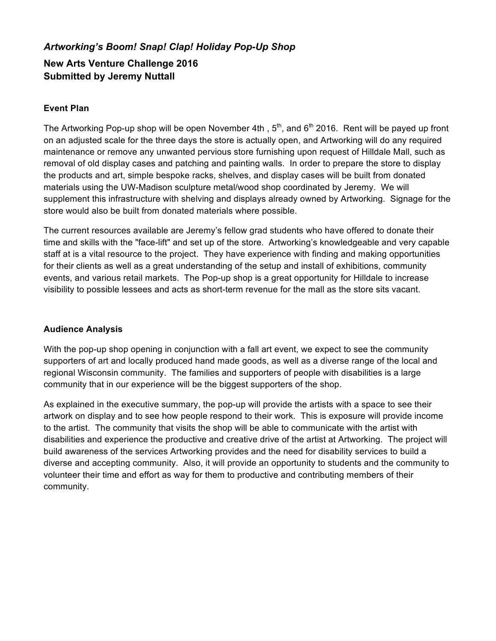# *Artworking's Boom! Snap! Clap! Holiday Pop-Up Shop* **New Arts Venture Challenge 2016 Submitted by Jeremy Nuttall**

### **Event Plan**

The Artworking Pop-up shop will be open November 4th, 5<sup>th</sup>, and 6<sup>th</sup> 2016. Rent will be payed up front on an adjusted scale for the three days the store is actually open, and Artworking will do any required maintenance or remove any unwanted pervious store furnishing upon request of Hilldale Mall, such as removal of old display cases and patching and painting walls. In order to prepare the store to display the products and art, simple bespoke racks, shelves, and display cases will be built from donated materials using the UW-Madison sculpture metal/wood shop coordinated by Jeremy. We will supplement this infrastructure with shelving and displays already owned by Artworking. Signage for the store would also be built from donated materials where possible.

The current resources available are Jeremy's fellow grad students who have offered to donate their time and skills with the "face-lift" and set up of the store. Artworking's knowledgeable and very capable staff at is a vital resource to the project. They have experience with finding and making opportunities for their clients as well as a great understanding of the setup and install of exhibitions, community events, and various retail markets. The Pop-up shop is a great opportunity for Hilldale to increase visibility to possible lessees and acts as short-term revenue for the mall as the store sits vacant.

#### **Audience Analysis**

With the pop-up shop opening in conjunction with a fall art event, we expect to see the community supporters of art and locally produced hand made goods, as well as a diverse range of the local and regional Wisconsin community. The families and supporters of people with disabilities is a large community that in our experience will be the biggest supporters of the shop.

As explained in the executive summary, the pop-up will provide the artists with a space to see their artwork on display and to see how people respond to their work. This is exposure will provide income to the artist. The community that visits the shop will be able to communicate with the artist with disabilities and experience the productive and creative drive of the artist at Artworking. The project will build awareness of the services Artworking provides and the need for disability services to build a diverse and accepting community. Also, it will provide an opportunity to students and the community to volunteer their time and effort as way for them to productive and contributing members of their community.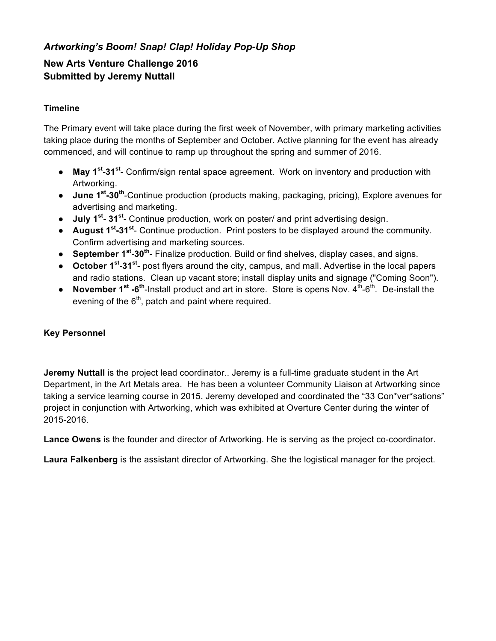## *Artworking's Boom! Snap! Clap! Holiday Pop-Up Shop*

# **New Arts Venture Challenge 2016 Submitted by Jeremy Nuttall**

### **Timeline**

The Primary event will take place during the first week of November, with primary marketing activities taking place during the months of September and October. Active planning for the event has already commenced, and will continue to ramp up throughout the spring and summer of 2016.

- **May 1st-31st** Confirm/sign rental space agreement. Work on inventory and production with Artworking.
- **June 1st-30th**-Continue production (products making, packaging, pricing), Explore avenues for advertising and marketing.
- **July 1st- 31st** Continue production, work on poster/ and print advertising design.
- **August 1st-31st** Continue production. Print posters to be displayed around the community. Confirm advertising and marketing sources.
- **September 1st-30th** Finalize production. Build or find shelves, display cases, and signs.
- **October 1st-31st** post flyers around the city, campus, and mall. Advertise in the local papers and radio stations. Clean up vacant store; install display units and signage ("Coming Soon").
- **November 1<sup>st</sup> -6<sup>th</sup>-Install product and art in store. Store is opens Nov. 4<sup>th</sup>-6<sup>th</sup>. De-install the** evening of the  $6<sup>th</sup>$ , patch and paint where required.

### **Key Personnel**

**Jeremy Nuttall** is the project lead coordinator.. Jeremy is a full-time graduate student in the Art Department, in the Art Metals area. He has been a volunteer Community Liaison at Artworking since taking a service learning course in 2015. Jeremy developed and coordinated the "33 Con\*ver\*sations" project in conjunction with Artworking, which was exhibited at Overture Center during the winter of 2015-2016.

**Lance Owens** is the founder and director of Artworking. He is serving as the project co-coordinator.

**Laura Falkenberg** is the assistant director of Artworking. She the logistical manager for the project.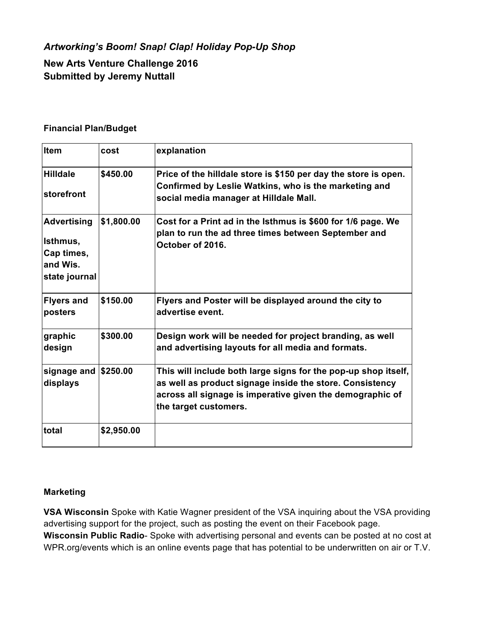## *Artworking's Boom! Snap! Clap! Holiday Pop-Up Shop*

**New Arts Venture Challenge 2016 Submitted by Jeremy Nuttall**

#### **Financial Plan/Budget**

| Item                                                                      | cost       | explanation                                                                                                                                                                                                      |
|---------------------------------------------------------------------------|------------|------------------------------------------------------------------------------------------------------------------------------------------------------------------------------------------------------------------|
| <b>Hilldale</b><br>storefront                                             | \$450.00   | Price of the hilldale store is \$150 per day the store is open.<br>Confirmed by Leslie Watkins, who is the marketing and<br>social media manager at Hilldale Mall.                                               |
| <b>Advertising</b><br>Isthmus,<br>Cap times,<br>and Wis.<br>state journal | \$1,800.00 | Cost for a Print ad in the Isthmus is \$600 for 1/6 page. We<br>plan to run the ad three times between September and<br>October of 2016.                                                                         |
| <b>Flyers and</b><br>posters                                              | \$150.00   | Flyers and Poster will be displayed around the city to<br>advertise event.                                                                                                                                       |
| graphic<br>design                                                         | \$300.00   | Design work will be needed for project branding, as well<br>and advertising layouts for all media and formats.                                                                                                   |
| signage and \$250.00<br>displays                                          |            | This will include both large signs for the pop-up shop itself,<br>as well as product signage inside the store. Consistency<br>across all signage is imperative given the demographic of<br>the target customers. |
| total                                                                     | \$2,950.00 |                                                                                                                                                                                                                  |

#### **Marketing**

**VSA Wisconsin** Spoke with Katie Wagner president of the VSA inquiring about the VSA providing advertising support for the project, such as posting the event on their Facebook page. **Wisconsin Public Radio**- Spoke with advertising personal and events can be posted at no cost at WPR.org/events which is an online events page that has potential to be underwritten on air or T.V.